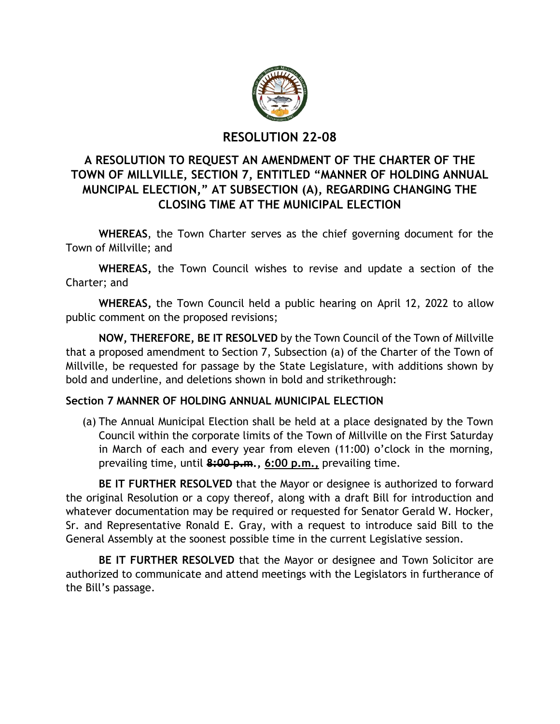

## **RESOLUTION 22-08**

# **A RESOLUTION TO REQUEST AN AMENDMENT OF THE CHARTER OF THE TOWN OF MILLVILLE, SECTION 7, ENTITLED "MANNER OF HOLDING ANNUAL MUNCIPAL ELECTION," AT SUBSECTION (A), REGARDING CHANGING THE CLOSING TIME AT THE MUNICIPAL ELECTION**

**WHEREAS**, the Town Charter serves as the chief governing document for the Town of Millville; and

**WHEREAS,** the Town Council wishes to revise and update a section of the Charter; and

**WHEREAS,** the Town Council held a public hearing on April 12, 2022 to allow public comment on the proposed revisions;

**NOW, THEREFORE, BE IT RESOLVED** by the Town Council of the Town of Millville that a proposed amendment to Section 7, Subsection (a) of the Charter of the Town of Millville, be requested for passage by the State Legislature, with additions shown by bold and underline, and deletions shown in bold and strikethrough:

### **Section 7 MANNER OF HOLDING ANNUAL MUNICIPAL ELECTION**

(a) The Annual Municipal Election shall be held at a place designated by the Town Council within the corporate limits of the Town of Millville on the First Saturday in March of each and every year from eleven (11:00) o'clock in the morning, prevailing time, until **8:00 p.m., 6:00 p.m.,** prevailing time.

**BE IT FURTHER RESOLVED** that the Mayor or designee is authorized to forward the original Resolution or a copy thereof, along with a draft Bill for introduction and whatever documentation may be required or requested for Senator Gerald W. Hocker, Sr. and Representative Ronald E. Gray, with a request to introduce said Bill to the General Assembly at the soonest possible time in the current Legislative session.

**BE IT FURTHER RESOLVED** that the Mayor or designee and Town Solicitor are authorized to communicate and attend meetings with the Legislators in furtherance of the Bill's passage.